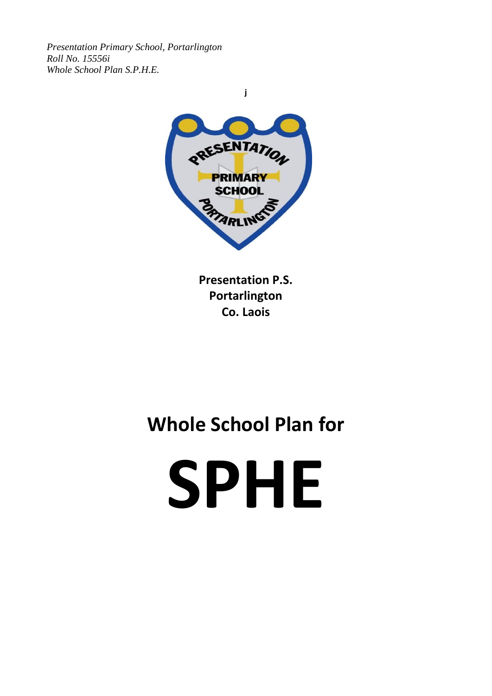*Presentation Primary School, Portarlington Roll No. 15556i Whole School Plan S.P.H.E.*



**Presentation P.S. Portarlington Co. Laois**

## **Whole School Plan for**

# **SPHE**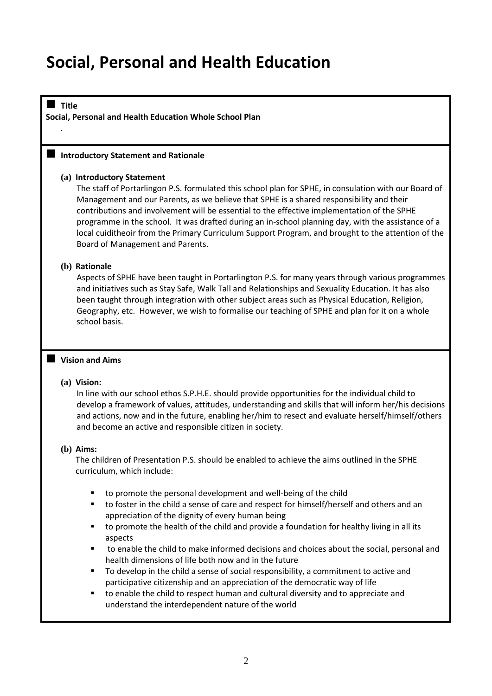### **Social, Personal and Health Education**

■ Title **Social, Personal and Health Education Whole School Plan**

#### ■ Introductory Statement and Rationale

#### **(a) Introductory Statement**

The staff of Portarlingon P.S. formulated this school plan for SPHE, in consulation with our Board of Management and our Parents, as we believe that SPHE is a shared responsibility and their contributions and involvement will be essential to the effective implementation of the SPHE programme in the school. It was drafted during an in-school planning day, with the assistance of a local cuiditheoir from the Primary Curriculum Support Program, and brought to the attention of the Board of Management and Parents.

#### **(b) Rationale**

*.*

Aspects of SPHE have been taught in Portarlington P.S. for many years through various programmes and initiatives such as Stay Safe, Walk Tall and Relationships and Sexuality Education. It has also been taught through integration with other subject areas such as Physical Education, Religion, Geography, etc. However, we wish to formalise our teaching of SPHE and plan for it on a whole school basis.

#### ■ Vision and Aims

#### **(a) Vision:**

In line with our school ethos S.P.H.E. should provide opportunities for the individual child to develop a framework of values, attitudes, understanding and skills that will inform her/his decisions and actions, now and in the future, enabling her/him to resect and evaluate herself/himself/others and become an active and responsible citizen in society.

#### **(b) Aims:**

The children of Presentation P.S. should be enabled to achieve the aims outlined in the SPHE curriculum, which include:

- to promote the personal development and well-being of the child
- to foster in the child a sense of care and respect for himself/herself and others and an appreciation of the dignity of every human being
- to promote the health of the child and provide a foundation for healthy living in all its aspects
- to enable the child to make informed decisions and choices about the social, personal and health dimensions of life both now and in the future
- To develop in the child a sense of social responsibility, a commitment to active and participative citizenship and an appreciation of the democratic way of life
- to enable the child to respect human and cultural diversity and to appreciate and understand the interdependent nature of the world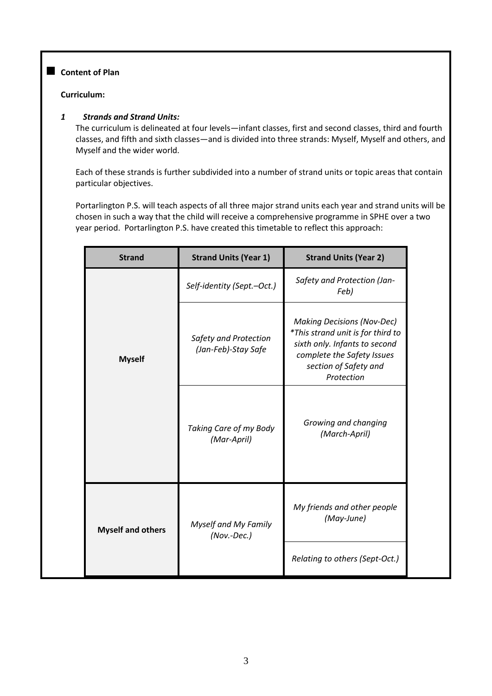#### ■ Content of Plan

#### **Curriculum:**

#### *1 Strands and Strand Units:*

The curriculum is delineated at four levels—infant classes, first and second classes, third and fourth classes, and fifth and sixth classes—and is divided into three strands: Myself, Myself and others, and Myself and the wider world.

Each of these strands is further subdivided into a number of strand units or topic areas that contain particular objectives.

Portarlington P.S. will teach aspects of all three major strand units each year and strand units will be chosen in such a way that the child will receive a comprehensive programme in SPHE over a two year period. Portarlington P.S. have created this timetable to reflect this approach:

| <b>Strand</b>            | <b>Strand Units (Year 1)</b>                 | <b>Strand Units (Year 2)</b>                                                                                                                                                 |  |
|--------------------------|----------------------------------------------|------------------------------------------------------------------------------------------------------------------------------------------------------------------------------|--|
|                          | Self-identity (Sept.-Oct.)                   | Safety and Protection (Jan-<br>Feb)                                                                                                                                          |  |
| <b>Myself</b>            | Safety and Protection<br>(Jan-Feb)-Stay Safe | <b>Making Decisions (Nov-Dec)</b><br>*This strand unit is for third to<br>sixth only. Infants to second<br>complete the Safety Issues<br>section of Safety and<br>Protection |  |
|                          | Taking Care of my Body<br>(Mar-April)        | Growing and changing<br>(March-April)                                                                                                                                        |  |
| <b>Myself and others</b> | <b>Myself and My Family</b><br>$(Nov.-Dec.)$ | My friends and other people<br>(May-June)                                                                                                                                    |  |
|                          |                                              | Relating to others (Sept-Oct.)                                                                                                                                               |  |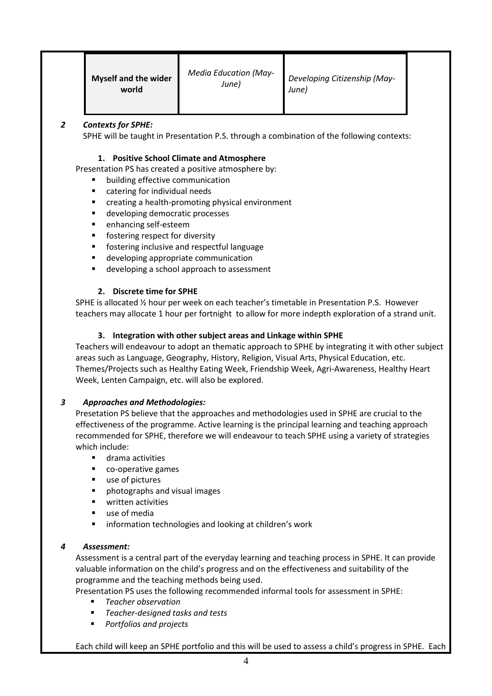|  | <b>Myself and the wider</b><br>world | <b>Media Education (May-</b><br>June) | Developing Citizenship (May-<br>June) |  |
|--|--------------------------------------|---------------------------------------|---------------------------------------|--|
|--|--------------------------------------|---------------------------------------|---------------------------------------|--|

#### *2 Contexts for SPHE:*

SPHE will be taught in Presentation P.S. through a combination of the following contexts:

#### **1. Positive School Climate and Atmosphere**

Presentation PS has created a positive atmosphere by:

- building effective communication
- catering for individual needs
- creating a health-promoting physical environment
- developing democratic processes
- enhancing self-esteem
- fostering respect for diversity
- fostering inclusive and respectful language
- developing appropriate communication
- developing a school approach to assessment

#### **2. Discrete time for SPHE**

SPHE is allocated ½ hour per week on each teacher's timetable in Presentation P.S. However teachers may allocate 1 hour per fortnight to allow for more indepth exploration of a strand unit.

#### **3. Integration with other subject areas and Linkage within SPHE**

Teachers will endeavour to adopt an thematic approach to SPHE by integrating it with other subject areas such as Language, Geography, History, Religion, Visual Arts, Physical Education, etc. Themes/Projects such as Healthy Eating Week, Friendship Week, Agri-Awareness, Healthy Heart Week, Lenten Campaign, etc. will also be explored.

#### *3 Approaches and Methodologies:*

Presetation PS believe that the approaches and methodologies used in SPHE are crucial to the effectiveness of the programme. Active learning is the principal learning and teaching approach recommended for SPHE, therefore we will endeavour to teach SPHE using a variety of strategies which include:

- drama activities
- co-operative games
- use of pictures
- photographs and visual images
- written activities
- use of media
- information technologies and looking at children's work

#### *4 Assessment:*

Assessment is a central part of the everyday learning and teaching process in SPHE. It can provide valuable information on the child's progress and on the effectiveness and suitability of the programme and the teaching methods being used.

Presentation PS uses the following recommended informal tools for assessment in SPHE:

- *Teacher observation*
- *Teacher-designed tasks and tests*
- *Portfolios and projects*

Each child will keep an SPHE portfolio and this will be used to assess a child's progress in SPHE. Each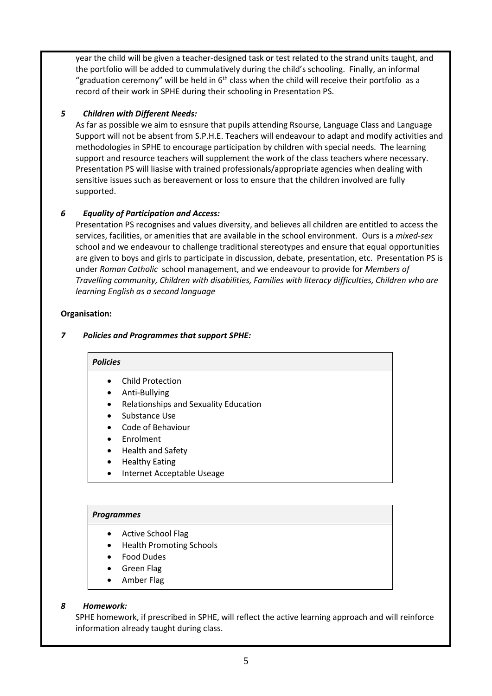year the child will be given a teacher-designed task or test related to the strand units taught, and the portfolio will be added to cummulatively during the child's schooling. Finally, an informal "graduation ceremony" will be held in  $6<sup>th</sup>$  class when the child will receive their portfolio as a record of their work in SPHE during their schooling in Presentation PS.

#### *5 Children with Different Needs:*

As far as possible we aim to esnsure that pupils attending Rsourse, Language Class and Language Support will not be absent from S.P.H.E. Teachers will endeavour to adapt and modify activities and methodologies in SPHE to encourage participation by children with special needs. The learning support and resource teachers will supplement the work of the class teachers where necessary. Presentation PS will liasise with trained professionals/appropriate agencies when dealing with sensitive issues such as bereavement or loss to ensure that the children involved are fully supported.

#### *6 Equality of Participation and Access:*

Presentation PS recognises and values diversity, and believes all children are entitled to access the services, facilities, or amenities that are available in the school environment. Ours is a *mixed-sex* school and we endeavour to challenge traditional stereotypes and ensure that equal opportunities are given to boys and girls to participate in discussion, debate, presentation, etc. Presentation PS is under *Roman Catholic* school management, and we endeavour to provide for *Members of Travelling community, Children with disabilities, Families with literacy difficulties, Children who are learning English as a second language*

#### **Organisation:**

#### *7 Policies and Programmes that support SPHE:*

#### *Policies*

- Child Protection
- Anti-Bullying
- Relationships and Sexuality Education
- Substance Use
- Code of Behaviour
- **Enrolment**
- Health and Safety
- Healthy Eating
- Internet Acceptable Useage

#### *Programmes*

- Active School Flag
- Health Promoting Schools
- Food Dudes
- Green Flag
- Amber Flag

#### *8 Homework:*

SPHE homework, if prescribed in SPHE, will reflect the active learning approach and will reinforce information already taught during class.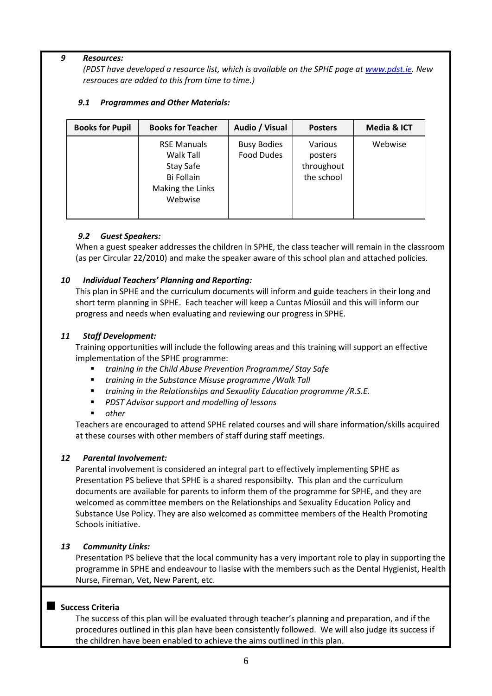#### *9 Resources:*

*(PDST have developed a resource list, which is available on the SPHE page at [www.pdst.ie.](http://www.pdst.ie/) New resrouces are added to this from time to time.)*

#### *9.1 Programmes and Other Materials:*

| <b>Books for Pupil</b> | <b>Books for Teacher</b>                                                                  | Audio / Visual                          | <b>Posters</b>                                 | Media & ICT |
|------------------------|-------------------------------------------------------------------------------------------|-----------------------------------------|------------------------------------------------|-------------|
|                        | <b>RSE Manuals</b><br>Walk Tall<br>Stay Safe<br>Bi Follain<br>Making the Links<br>Webwise | <b>Busy Bodies</b><br><b>Food Dudes</b> | Various<br>posters<br>throughout<br>the school | Webwise     |

#### *9.2 Guest Speakers:*

When a guest speaker addresses the children in SPHE, the class teacher will remain in the classroom (as per Circular 22/2010) and make the speaker aware of this school plan and attached policies.

#### *10 Individual Teachers' Planning and Reporting:*

This plan in SPHE and the curriculum documents will inform and guide teachers in their long and short term planning in SPHE. Each teacher will keep a Cuntas Míosúil and this will inform our progress and needs when evaluating and reviewing our progress in SPHE.

#### *11 Staff Development:*

Training opportunities will include the following areas and this training will support an effective implementation of the SPHE programme:

- *training in the Child Abuse Prevention Programme/ Stay Safe*
- *training in the Substance Misuse programme /Walk Tall*
- *training in the Relationships and Sexuality Education programme /R.S.E.*
- *PDST Advisor support and modelling of lessons*
- *other*

Teachers are encouraged to attend SPHE related courses and will share information/skills acquired at these courses with other members of staff during staff meetings.

#### *12 Parental Involvement:*

Parental involvement is considered an integral part to effectively implementing SPHE as Presentation PS believe that SPHE is a shared responsibilty. This plan and the curriculum documents are available for parents to inform them of the programme for SPHE, and they are welcomed as committee members on the Relationships and Sexuality Education Policy and Substance Use Policy. They are also welcomed as committee members of the Health Promoting Schools initiative.

#### *13 Community Links:*

Presentation PS believe that the local community has a very important role to play in supporting the programme in SPHE and endeavour to liasise with the members such as the Dental Hygienist, Health Nurse, Fireman, Vet, New Parent, etc.

#### ■ Success Criteria

The success of this plan will be evaluated through teacher's planning and preparation, and if the procedures outlined in this plan have been consistently followed. We will also judge its success if the children have been enabled to achieve the aims outlined in this plan.